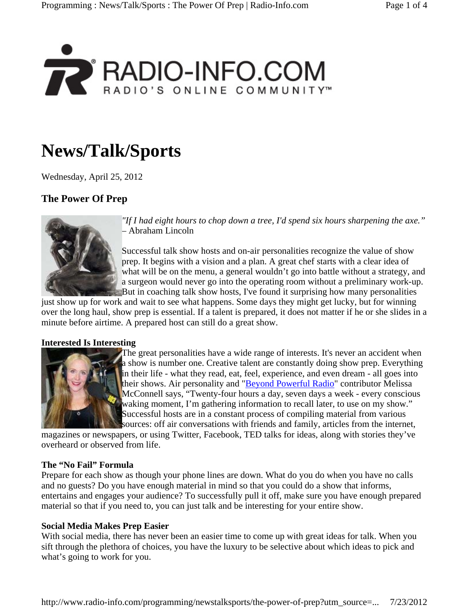

# **News/Talk/Sports**

Wednesday, April 25, 2012

## **The Power Of Prep**



*"If I had eight hours to chop down a tree, I'd spend six hours sharpening the axe."* – Abraham Lincoln

Successful talk show hosts and on-air personalities recognize the value of show prep. It begins with a vision and a plan. A great chef starts with a clear idea of what will be on the menu, a general wouldn't go into battle without a strategy, and a surgeon would never go into the operating room without a preliminary work-up. But in coaching talk show hosts, I've found it surprising how many personalities

just show up for work and wait to see what happens. Some days they might get lucky, but for winning over the long haul, show prep is essential. If a talent is prepared, it does not matter if he or she slides in a minute before airtime. A prepared host can still do a great show.

#### **Interested Is Interesting**



The great personalities have a wide range of interests. It's never an accident when a show is number one. Creative talent are constantly doing show prep. Everything in their life - what they read, eat, feel, experience, and even dream - all goes into their shows. Air personality and "Beyond Powerful Radio" contributor Melissa McConnell says, "Twenty-four hours a day, seven days a week - every conscious waking moment, I'm gathering information to recall later, to use on my show." Successful hosts are in a constant process of compiling material from various sources: off air conversations with friends and family, articles from the internet,

magazines or newspapers, or using Twitter, Facebook, TED talks for ideas, along with stories they've overheard or observed from life.

#### **The "No Fail" Formula**

Prepare for each show as though your phone lines are down. What do you do when you have no calls and no guests? Do you have enough material in mind so that you could do a show that informs, entertains and engages your audience? To successfully pull it off, make sure you have enough prepared material so that if you need to, you can just talk and be interesting for your entire show.

#### **Social Media Makes Prep Easier**

With social media, there has never been an easier time to come up with great ideas for talk. When you sift through the plethora of choices, you have the luxury to be selective about which ideas to pick and what's going to work for you.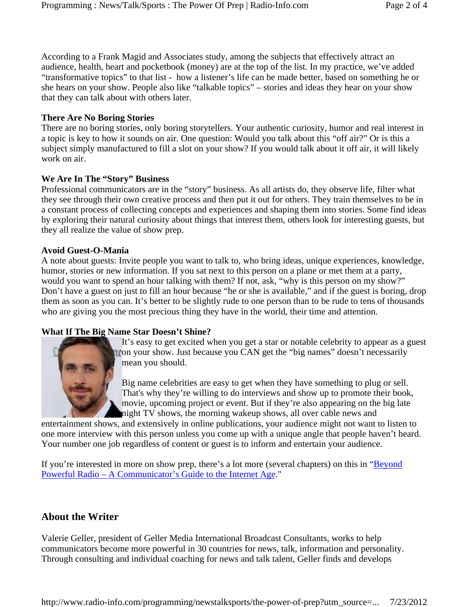According to a Frank Magid and Associates study, among the subjects that effectively attract an audience, health, heart and pocketbook (money) are at the top of the list. In my practice, we've added "transformative topics" to that list - how a listener's life can be made better, based on something he or she hears on your show. People also like "talkable topics" – stories and ideas they hear on your show that they can talk about with others later.

#### **There Are No Boring Stories**

There are no boring stories, only boring storytellers. Your authentic curiosity, humor and real interest in a topic is key to how it sounds on air. One question: Would you talk about this "off air?" Or is this a subject simply manufactured to fill a slot on your show? If you would talk about it off air, it will likely work on air.

#### **We Are In The "Story" Business**

Professional communicators are in the "story" business. As all artists do, they observe life, filter what they see through their own creative process and then put it out for others. They train themselves to be in a constant process of collecting concepts and experiences and shaping them into stories. Some find ideas by exploring their natural curiosity about things that interest them, others look for interesting guests, but they all realize the value of show prep.

#### **Avoid Guest-O-Mania**

A note about guests: Invite people you want to talk to, who bring ideas, unique experiences, knowledge, humor, stories or new information. If you sat next to this person on a plane or met them at a party, would you want to spend an hour talking with them? If not, ask, "why is this person on my show?" Don't have a guest on just to fill an hour because "he or she is available," and if the guest is boring, drop them as soon as you can. It's better to be slightly rude to one person than to be rude to tens of thousands who are giving you the most precious thing they have in the world, their time and attention.

#### **What If The Big Name Star Doesn't Shine?**



It's easy to get excited when you get a star or notable celebrity to appear as a guest on your show. Just because you CAN get the "big names" doesn't necessarily mean you should.

Big name celebrities are easy to get when they have something to plug or sell. That's why they're willing to do interviews and show up to promote their book, movie, upcoming project or event. But if they're also appearing on the big late night TV shows, the morning wakeup shows, all over cable news and

entertainment shows, and extensively in online publications, your audience might not want to listen to one more interview with this person unless you come up with a unique angle that people haven't heard. Your number one job regardless of content or guest is to inform and entertain your audience.

If you're interested in more on show prep, there's a lot more (several chapters) on this in "Beyond Powerful Radio – A Communicator's Guide to the Internet Age."

### **About the Writer**

Valerie Geller, president of Geller Media International Broadcast Consultants, works to help communicators become more powerful in 30 countries for news, talk, information and personality. Through consulting and individual coaching for news and talk talent, Geller finds and develops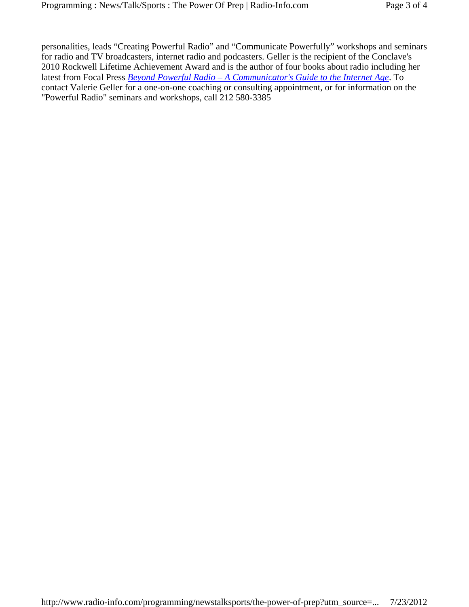personalities, leads "Creating Powerful Radio" and "Communicate Powerfully" workshops and seminars for radio and TV broadcasters, internet radio and podcasters. Geller is the recipient of the Conclave's 2010 Rockwell Lifetime Achievement Award and is the author of four books about radio including her latest from Focal Press *Beyond Powerful Radio – A Communicator's Guide to the Internet Age*. To contact Valerie Geller for a one-on-one coaching or consulting appointment, or for information on the "Powerful Radio" seminars and workshops, call 212 580-3385